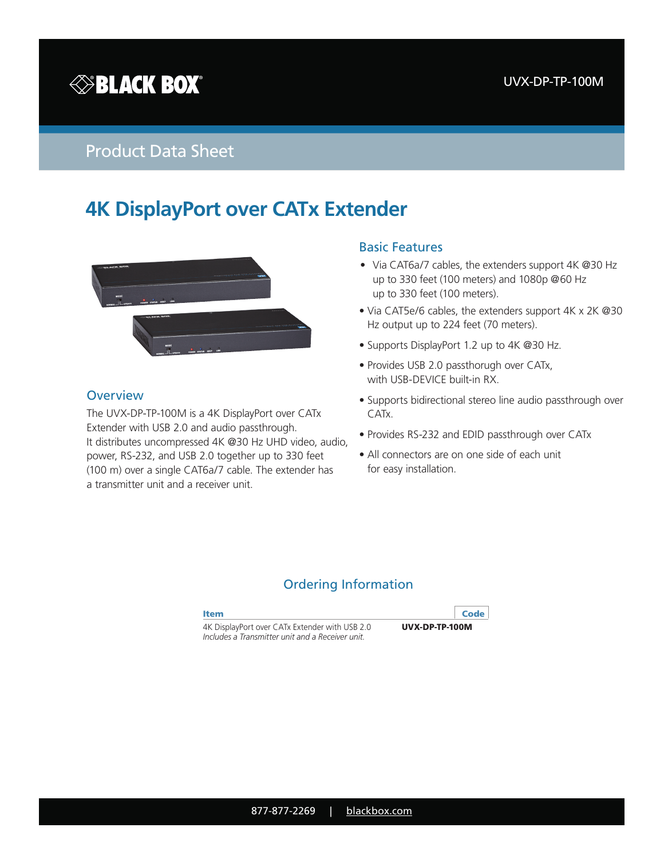

## Product Data Sheet

# **4K DisplayPort over CATx Extender**



### **Overview**

The UVX-DP-TP-100M is a 4K DisplayPort over CATx Extender with USB 2.0 and audio passthrough. It distributes uncompressed 4K @30 Hz UHD video, audio, power, RS-232, and USB 2.0 together up to 330 feet (100 m) over a single CAT6a/7 cable. The extender has a transmitter unit and a receiver unit.

#### Basic Features

- Via CAT6a/7 cables, the extenders support 4K @30 Hz up to 330 feet (100 meters) and 1080p @60 Hz up to 330 feet (100 meters).
- Via CAT5e/6 cables, the extenders support 4K x 2K @30 Hz output up to 224 feet (70 meters).
- Supports DisplayPort 1.2 up to 4K @30 Hz.
- Provides USB 2.0 passthorugh over CATx, with USB-DEVICE built-in RX.
- Supports bidirectional stereo line audio passthrough over CATx.
- Provides RS-232 and EDID passthrough over CATx
- All connectors are on one side of each unit for easy installation.

### Ordering Information

| <b>Item</b>                                                                                        | Code             |
|----------------------------------------------------------------------------------------------------|------------------|
| 4K DisplayPort over CATx Extender with USB 2.0<br>Includes a Transmitter unit and a Receiver unit. | $UVX-DP-TP-100M$ |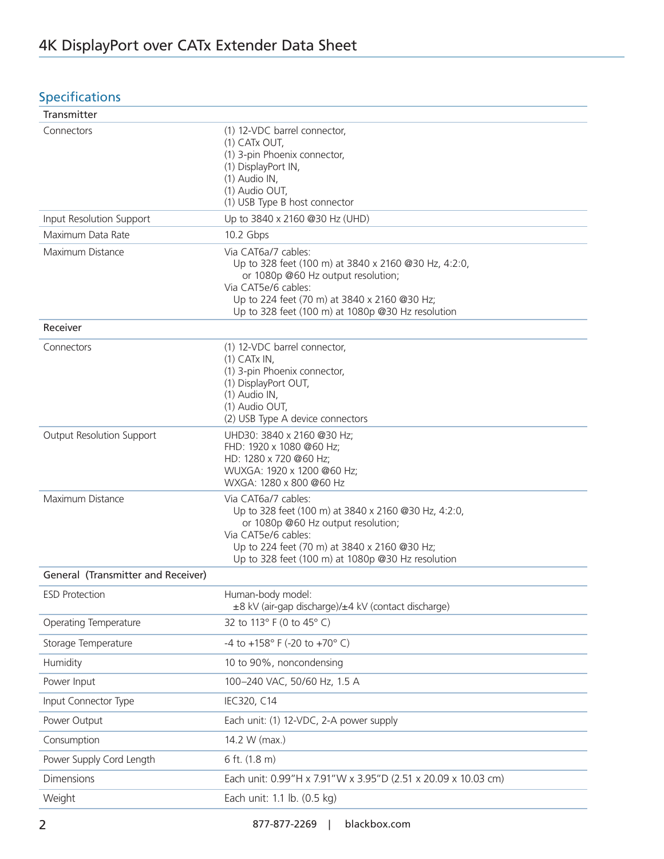## **Specifications**

| Transmitter                        |                                                                                                                                                                                                                                               |
|------------------------------------|-----------------------------------------------------------------------------------------------------------------------------------------------------------------------------------------------------------------------------------------------|
| Connectors                         | (1) 12-VDC barrel connector,<br>(1) CATx OUT,<br>(1) 3-pin Phoenix connector,<br>(1) DisplayPort IN,<br>(1) Audio IN,<br>(1) Audio OUT,<br>(1) USB Type B host connector                                                                      |
| Input Resolution Support           | Up to 3840 x 2160 @30 Hz (UHD)                                                                                                                                                                                                                |
| Maximum Data Rate                  | 10.2 Gbps                                                                                                                                                                                                                                     |
| Maximum Distance                   | Via CAT6a/7 cables:<br>Up to 328 feet (100 m) at 3840 x 2160 @30 Hz, 4:2:0,<br>or 1080p @60 Hz output resolution;<br>Via CAT5e/6 cables:<br>Up to 224 feet (70 m) at 3840 x 2160 @30 Hz;<br>Up to 328 feet (100 m) at 1080p @30 Hz resolution |
| Receiver                           |                                                                                                                                                                                                                                               |
| Connectors                         | (1) 12-VDC barrel connector,<br>$(1)$ CATx IN,<br>(1) 3-pin Phoenix connector,<br>(1) DisplayPort OUT,<br>(1) Audio IN,<br>(1) Audio OUT,<br>(2) USB Type A device connectors                                                                 |
| Output Resolution Support          | UHD30: 3840 x 2160 @30 Hz;<br>FHD: 1920 x 1080 @60 Hz;<br>HD: 1280 x 720 @60 Hz;<br>WUXGA: 1920 x 1200 @60 Hz;<br>WXGA: 1280 x 800 @60 Hz                                                                                                     |
| Maximum Distance                   | Via CAT6a/7 cables:<br>Up to 328 feet (100 m) at 3840 x 2160 @30 Hz, 4:2:0,<br>or 1080p @60 Hz output resolution;<br>Via CAT5e/6 cables:<br>Up to 224 feet (70 m) at 3840 x 2160 @30 Hz;<br>Up to 328 feet (100 m) at 1080p @30 Hz resolution |
| General (Transmitter and Receiver) |                                                                                                                                                                                                                                               |
| <b>ESD Protection</b>              | Human-body model:<br>±8 kV (air-gap discharge)/±4 kV (contact discharge)                                                                                                                                                                      |
| Operating Temperature              | 32 to 113° F (0 to 45° C)                                                                                                                                                                                                                     |
| Storage Temperature                | -4 to +158° F (-20 to +70° C)                                                                                                                                                                                                                 |
| Humidity                           | 10 to 90%, noncondensing                                                                                                                                                                                                                      |
| Power Input                        | 100-240 VAC, 50/60 Hz, 1.5 A                                                                                                                                                                                                                  |
| Input Connector Type               | IEC320, C14                                                                                                                                                                                                                                   |
| Power Output                       | Each unit: (1) 12-VDC, 2-A power supply                                                                                                                                                                                                       |
| Consumption                        | 14.2 W (max.)                                                                                                                                                                                                                                 |
| Power Supply Cord Length           | 6 ft. (1.8 m)                                                                                                                                                                                                                                 |
| <b>Dimensions</b>                  | Each unit: 0.99"H x 7.91"W x 3.95"D (2.51 x 20.09 x 10.03 cm)                                                                                                                                                                                 |
| Weight                             | Each unit: 1.1 lb. (0.5 kg)                                                                                                                                                                                                                   |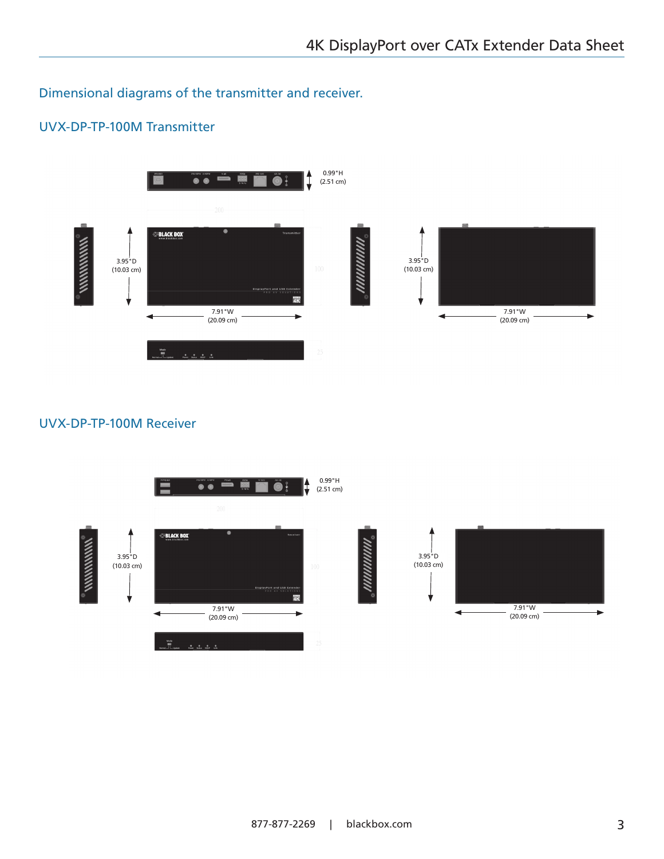Dimensional diagrams of the transmitter and receiver.

## UVX-DP-TP-100M Transmitter



### UVX-DP-TP-100M Receiver